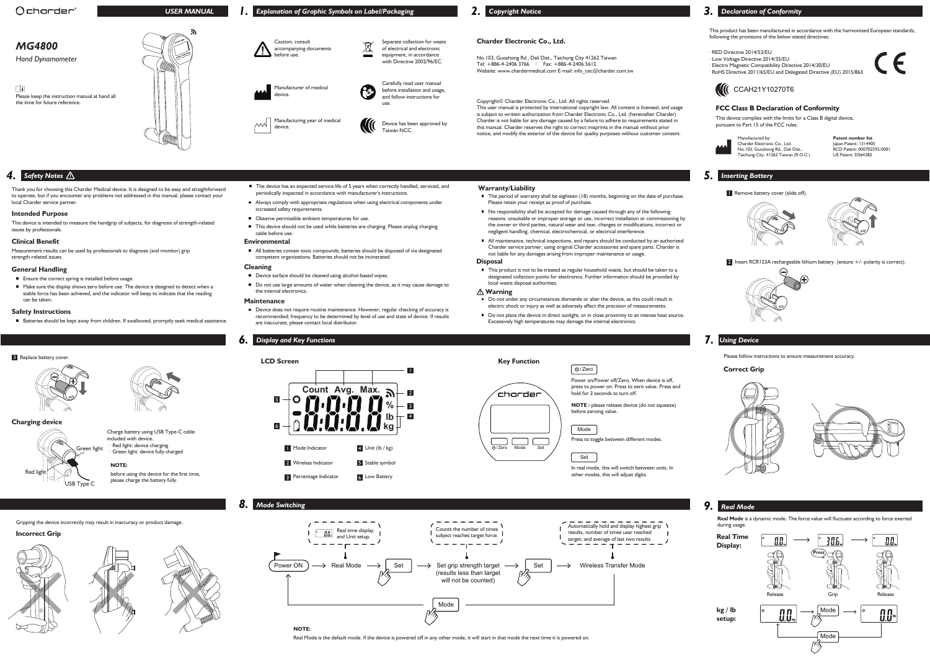

# *MG4800*

*Hand Dynamometer*

**Charder Electronic Co., Ltd.** 



m Please keep the instruction manual at hand all the time for future reference.

No.103, Guozhong Rd., Dali Dist., Taichung City 41262 Taiwan Tel: +886-4-2406 3766 | Fax: +886-4-2406 5612 Website: www.chardermedical.com E-mail: info\_cec@charder.com.tw This product has been manufactured in accordance with the harmonized European standards, following the provisions of the below stated directives:

This device complies with the limits for a Class B digital device, pursuant to Part 15 of the FCC rules.



- · RED Directive 2014/53/EU
- · Low Voltage Directive 2014/35/EU
- · Electro Magnetic Compatibility Directive 2014/30/EU · RoHS Directive 2011/65/EU and Delegated Directive (EU) 2015/863
- 

# **CCAH21Y10270T6**

This user manual is protected by international copyright law. All content is licensed, and usage is subject to written authorization from Charder Electronic Co., Ltd. (hereinafter Charder) Charder is not liable for any damage caused by a failure to adhere to requirements stated in this manual. Charder reserves the right to correct misprints in the manual without prior notice, and modify the exterior of the device for quality purposes without customer consent.

Thank you for choosing this Charder Medical device. It is designed to be easy and straightforward to operate, but if you encounter any problems not addressed in this manual, please contact your local Charder service partner.

This device is intended to measure the handgrip of subjects, for diagnosis of strength-related issues by professionals.

Measurement results can be used by professionals to diagnose (and monitor) grip strength-related issues.

### **Intended Purpose**

### **Clinical Benefit**

### **General Handling**

- **Ensure the correct spring is installed before usage.**
- Make sure the display shows zero before use. The device is designed to detect when a stable force has been achieved, and the indicator will beep to indicate that the reading can be taken.

Copyright© Charder Electronic Co., Ltd. All rights reserved.

- The device has an expected service life of 5 years when correctly handled, serviced, and periodically inspected in accordance with manufacturer's instructions.
- Always comply with appropriate regulations when using electrical components under increased safety requirements.
- Observe permissible ambient temperatures for use.
- This device should not be used while batteries are charging. Please unplug charging cable before use.

■ All batteries contain toxic compounds: batteries should be disposed of via designated competent organizations. Batteries should not be incinerated.

■ Device does not require routine maintenance. However, regular checking of accuracy is recommended; frequency to be determined by level of use and state of device. If results are inaccurate, please contact local distributor.

Charder Electronic Co., Ltd. No.103, Guozhong Rd., Dali Dist., Taichung City, 41262 Taiwan (R.O.C.)

**Patent number list** Japan Patent: 1314405 RCD Patent: 000702592-0001 US Patent: D564382

■ This product is not to be treated as regular household waste, but should be taken to a designated collection points for electronics. Further information should be provided by local waste disposal authorities.

Caution, consult accompanying documents before use.

Manufacturer of medical

device.

Manufacturing year of medical

device.

 $\sim$ 



with Directive 2002/96/EC. Carefully read user manual

- Do not under any circumstances dismantle or alter the device, as this could result in electric shock or injury as well as adversely affect the precision of measurements.
- Do not place the device in direct sunlight, or in close proximity to an intense heat source. Excessively high temperatures may damage the internal electronics.

before installation and usage, and follow instructions for

use.

Device has been approved by

Taiwan NCC.

### **FCC Class B Declaration of Conformity**

■ No responsibility shall be accepted for damage caused through any of the following reasons: unsuitable or improper storage or use, incorrect installation or commissioning by the owner or third parties, natural wear and tear, changes or modifications, incorrect or negligent handling, chemical, electrochemical, or electrical interference.

■ The period of warranty shall be eighteen (18) months, beginning on the date of purchase.

All maintenance, technical inspections, and repairs should be conducted by an authorized Charder service partner, using original Charder accessories and spare parts. Charder is not liable for any damages arising from improper maintenance or usage.

- Device surface should be cleaned using alcohol-based wipes.
- Do not use large amounts of water when cleaning the device, as it may cause damage to the internal electronics.

# Charge battery using USB Type-C cable included with device. Green light: device fully charged

# **Safety Instructions**

Batteries should be kept away from children. If swallowed, promptly seek medical assistance

**Count Avg. Max.** 2 5 ∩ 3 **% lb** 4 6 **kg 1** Mode Indicator  $4$  Unit (lb / kg) 2 Wireless Indicator 5 Stable symbol <sup>3</sup> Percentage Indicator 6 Low Battery

### **Environmental**

### **Cleaning**

#### **Maintenance**

# Please retain your receipt as proof of purchase.

# **Disposal**

Power on/Power off/Zero. When device is off, press to power on. Press to zero value. Press and hold for 3 seconds to turn off.

**NOTE :** please release device (do not squeeze) before zeroing value.

### **Warning**

**LCD Screen**







before using the device for the first time,

# **1.** Explanation of Graphic Symbols on Label/Packaging **2.** Copyright Notice **3. Declaration of Conformity**

please charge the battery fully.

# **NOTE:**

Real Mode is the default mode. If the device is powered off in any other mode, it will start in that mode the next time it is powered on.

**Real Mode** is a dynamic mode. The force value will fluctuate according to force exerted during usage.

## **Charging device**

·Red light: device charging



# / Zero





Press to toggle between different modes.

In real mode, this will switch between units. In other modes, this will adjust digits.







1



# *4. Safety Notes*

 **Warranty/Liability**

# *5. Inserting Battery*

**1** Remove battery cover (slide off).





2 Insert RCR123A rechargeable lithium battery. (ensure +/- polarity is correct).





# *6. Display and Key Functions 7. Using Device*

# **Incorrect Grip**



Please follow instructions to ensure measurement accuracy.

Gripping the device incorrectly may result in inaccuracy or product damage.